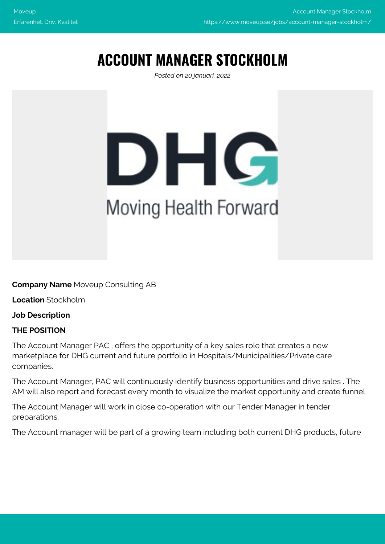# **ACCOUNT MANAGER STOCKHOLM**

*Posted on 20 januari, 2022*



**Company Name** Moveup Consulting AB

**Location** Stockholm

**Job Description**

## **THE POSITION**

The Account Manager PAC , offers the opportunity of a key sales role that creates a new marketplace for DHG current and future portfolio in Hospitals/Municipalities/Private care companies.

The Account Manager, PAC will continuously identify business opportunities and drive sales . The AM will also report and forecast every month to visualize the market opportunity and create funnel.

The Account Manager will work in close co-operation with our Tender Manager in tender preparations.

The Account manager will be part of a growing team including both current DHG products, future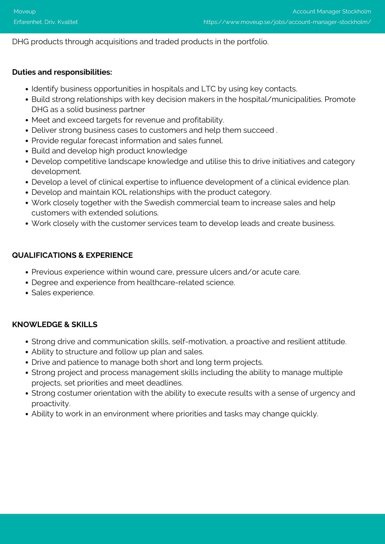## DHG products through acquisitions and traded products in the portfolio.

#### **Duties and responsibilities:**

- Identify business opportunities in hospitals and LTC by using key contacts.
- Build strong relationships with key decision makers in the hospital/municipalities. Promote DHG as a solid business partner
- Meet and exceed targets for revenue and profitability.
- Deliver strong business cases to customers and help them succeed .
- Provide regular forecast information and sales funnel.
- Build and develop high product knowledge
- Develop competitive landscape knowledge and utilise this to drive initiatives and category development.
- Develop a level of clinical expertise to influence development of a clinical evidence plan.
- Develop and maintain KOL relationships with the product category.
- Work closely together with the Swedish commercial team to increase sales and help customers with extended solutions.
- Work closely with the customer services team to develop leads and create business.

#### **QUALIFICATIONS & EXPERIENCE**

- Previous experience within wound care, pressure ulcers and/or acute care.
- Degree and experience from healthcare-related science.
- · Sales experience.

## **KNOWLEDGE & SKILLS**

- Strong drive and communication skills, self-motivation, a proactive and resilient attitude.
- Ability to structure and follow up plan and sales.
- Drive and patience to manage both short and long term projects.
- Strong project and process management skills including the ability to manage multiple projects, set priorities and meet deadlines.
- Strong costumer orientation with the ability to execute results with a sense of urgency and proactivity.
- Ability to work in an environment where priorities and tasks may change quickly.